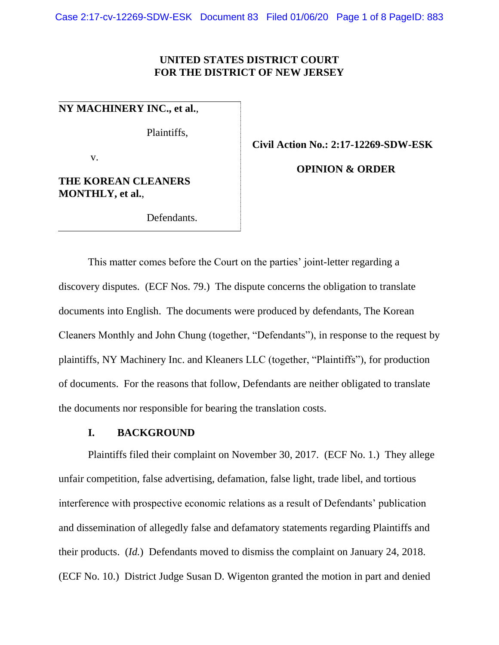## **UNITED STATES DISTRICT COURT FOR THE DISTRICT OF NEW JERSEY**

**NY MACHINERY INC., et al.**,

Plaintiffs,

v.

**THE KOREAN CLEANERS MONTHLY, et al.**,

Defendants.

**Civil Action No.: 2:17-12269-SDW-ESK**

**OPINION & ORDER**

This matter comes before the Court on the parties' joint-letter regarding a discovery disputes. (ECF Nos. 79.) The dispute concerns the obligation to translate documents into English. The documents were produced by defendants, The Korean Cleaners Monthly and John Chung (together, "Defendants"), in response to the request by plaintiffs, NY Machinery Inc. and Kleaners LLC (together, "Plaintiffs"), for production of documents. For the reasons that follow, Defendants are neither obligated to translate the documents nor responsible for bearing the translation costs.

## **I. BACKGROUND**

Plaintiffs filed their complaint on November 30, 2017. (ECF No. 1.) They allege unfair competition, false advertising, defamation, false light, trade libel, and tortious interference with prospective economic relations as a result of Defendants' publication and dissemination of allegedly false and defamatory statements regarding Plaintiffs and their products. (*Id.*) Defendants moved to dismiss the complaint on January 24, 2018. (ECF No. 10.) District Judge Susan D. Wigenton granted the motion in part and denied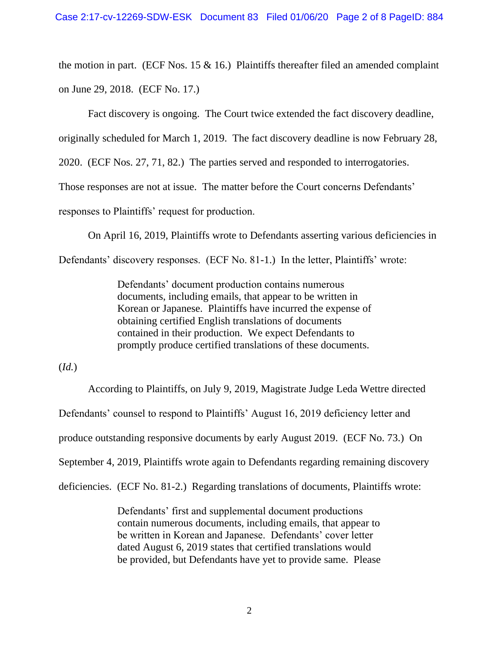the motion in part. (ECF Nos. 15  $\&$  16.) Plaintiffs thereafter filed an amended complaint on June 29, 2018. (ECF No. 17.)

Fact discovery is ongoing. The Court twice extended the fact discovery deadline,

originally scheduled for March 1, 2019. The fact discovery deadline is now February 28,

2020. (ECF Nos. 27, 71, 82.) The parties served and responded to interrogatories.

Those responses are not at issue. The matter before the Court concerns Defendants'

responses to Plaintiffs' request for production.

On April 16, 2019, Plaintiffs wrote to Defendants asserting various deficiencies in

Defendants' discovery responses. (ECF No. 81-1.) In the letter, Plaintiffs' wrote:

Defendants' document production contains numerous documents, including emails, that appear to be written in Korean or Japanese. Plaintiffs have incurred the expense of obtaining certified English translations of documents contained in their production. We expect Defendants to promptly produce certified translations of these documents.

(*Id.*)

According to Plaintiffs, on July 9, 2019, Magistrate Judge Leda Wettre directed Defendants' counsel to respond to Plaintiffs' August 16, 2019 deficiency letter and produce outstanding responsive documents by early August 2019. (ECF No. 73.) On September 4, 2019, Plaintiffs wrote again to Defendants regarding remaining discovery deficiencies. (ECF No. 81-2.) Regarding translations of documents, Plaintiffs wrote:

> Defendants' first and supplemental document productions contain numerous documents, including emails, that appear to be written in Korean and Japanese. Defendants' cover letter dated August 6, 2019 states that certified translations would be provided, but Defendants have yet to provide same. Please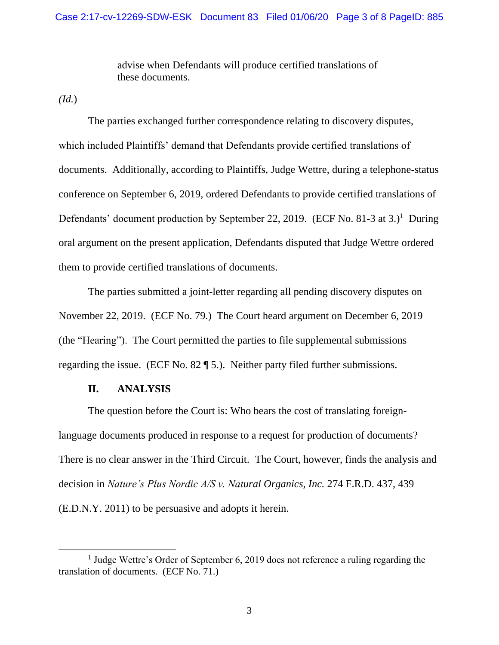advise when Defendants will produce certified translations of these documents.

*(Id.*)

The parties exchanged further correspondence relating to discovery disputes, which included Plaintiffs' demand that Defendants provide certified translations of documents. Additionally, according to Plaintiffs, Judge Wettre, during a telephone-status conference on September 6, 2019, ordered Defendants to provide certified translations of Defendants' document production by September 22, 2019. (ECF No. 81-3 at 3.)<sup>1</sup> During oral argument on the present application, Defendants disputed that Judge Wettre ordered them to provide certified translations of documents.

The parties submitted a joint-letter regarding all pending discovery disputes on November 22, 2019. (ECF No. 79.) The Court heard argument on December 6, 2019 (the "Hearing"). The Court permitted the parties to file supplemental submissions regarding the issue. (ECF No. 82 ¶ 5.). Neither party filed further submissions.

### **II. ANALYSIS**

The question before the Court is: Who bears the cost of translating foreignlanguage documents produced in response to a request for production of documents? There is no clear answer in the Third Circuit. The Court, however, finds the analysis and decision in *Nature's Plus Nordic A/S v. Natural Organics, Inc.* 274 F.R.D. 437, 439 (E.D.N.Y. 2011) to be persuasive and adopts it herein.

<sup>&</sup>lt;sup>1</sup> Judge Wettre's Order of September 6, 2019 does not reference a ruling regarding the translation of documents. (ECF No. 71.)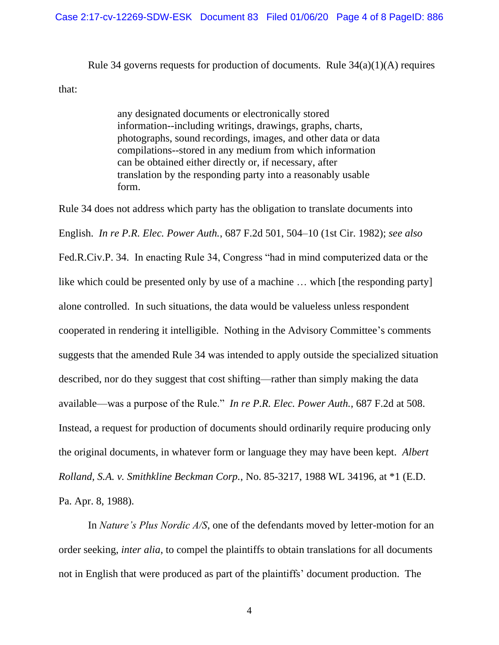#### Case 2:17-cv-12269-SDW-ESK Document 83 Filed 01/06/20 Page 4 of 8 PageID: 886

Rule 34 governs requests for production of documents. Rule  $34(a)(1)(A)$  requires

that:

any designated documents or electronically stored information--including writings, drawings, graphs, charts, photographs, sound recordings, images, and other data or data compilations--stored in any medium from which information can be obtained either directly or, if necessary, after translation by the responding party into a reasonably usable form.

Rule 34 does not address which party has the obligation to translate documents into English. *In re P.R. Elec. Power Auth.*, 687 F.2d 501, 504–10 (1st Cir. 1982); *see also* Fed.R.Civ.P. 34. In enacting Rule 34, Congress "had in mind computerized data or the like which could be presented only by use of a machine … which [the responding party] alone controlled. In such situations, the data would be valueless unless respondent cooperated in rendering it intelligible. Nothing in the Advisory Committee's comments suggests that the amended Rule 34 was intended to apply outside the specialized situation described, nor do they suggest that cost shifting—rather than simply making the data available—was a purpose of the Rule." *In re P.R. Elec. Power Auth.,* 687 F.2d at 508. Instead, a request for production of documents should ordinarily require producing only the original documents, in whatever form or language they may have been kept. *Albert Rolland, S.A. v. Smithkline Beckman Corp.*, No. 85-3217, 1988 WL 34196, at \*1 (E.D. Pa. Apr. 8, 1988).

In *Nature's Plus Nordic A/S*, one of the defendants moved by letter-motion for an order seeking, *inter alia*, to compel the plaintiffs to obtain translations for all documents not in English that were produced as part of the plaintiffs' document production. The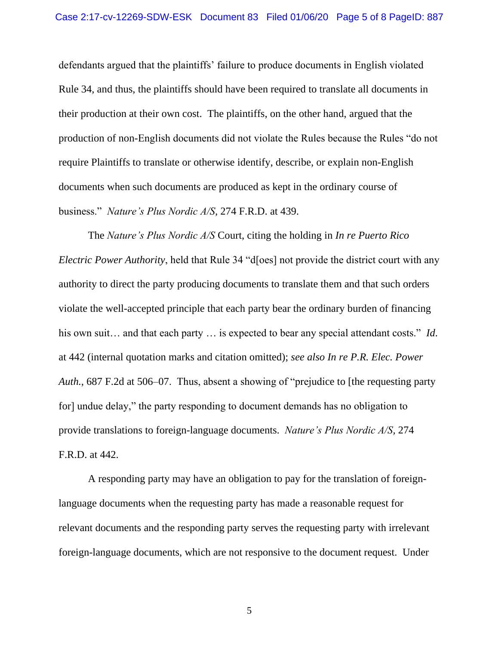defendants argued that the plaintiffs' failure to produce documents in English violated Rule 34, and thus, the plaintiffs should have been required to translate all documents in their production at their own cost. The plaintiffs, on the other hand, argued that the production of non-English documents did not violate the Rules because the Rules "do not require Plaintiffs to translate or otherwise identify, describe, or explain non-English documents when such documents are produced as kept in the ordinary course of business." *Nature's Plus Nordic A/S,* 274 F.R.D. at 439.

The *Nature's Plus Nordic A/S* Court, citing the holding in *In re Puerto Rico Electric Power Authority*, held that Rule 34 "d<sup>org</sup> not provide the district court with any authority to direct the party producing documents to translate them and that such orders violate the well-accepted principle that each party bear the ordinary burden of financing his own suit… and that each party … is expected to bear any special attendant costs." *Id*. at 442 (internal quotation marks and citation omitted); *see also In re P.R. Elec. Power Auth.*, 687 F.2d at 506–07. Thus, absent a showing of "prejudice to [the requesting party for] undue delay," the party responding to document demands has no obligation to provide translations to foreign-language documents. *Nature's Plus Nordic A/S,* 274 F.R.D. at 442.

A responding party may have an obligation to pay for the translation of foreignlanguage documents when the requesting party has made a reasonable request for relevant documents and the responding party serves the requesting party with irrelevant foreign-language documents, which are not responsive to the document request. Under

5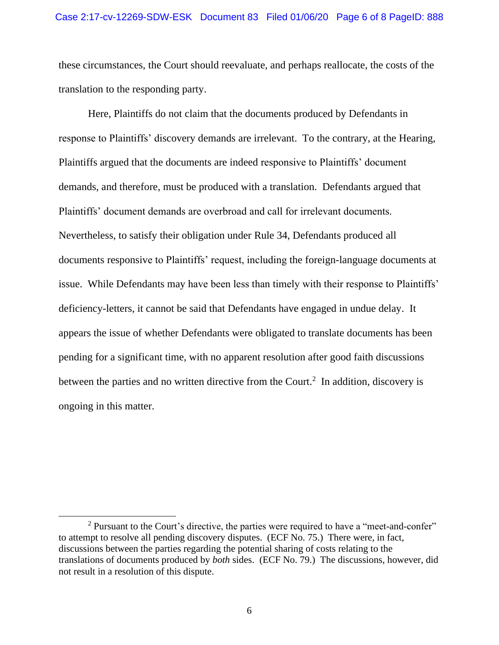these circumstances, the Court should reevaluate, and perhaps reallocate, the costs of the translation to the responding party.

Here, Plaintiffs do not claim that the documents produced by Defendants in response to Plaintiffs' discovery demands are irrelevant. To the contrary, at the Hearing, Plaintiffs argued that the documents are indeed responsive to Plaintiffs' document demands, and therefore, must be produced with a translation. Defendants argued that Plaintiffs' document demands are overbroad and call for irrelevant documents. Nevertheless, to satisfy their obligation under Rule 34, Defendants produced all documents responsive to Plaintiffs' request, including the foreign-language documents at issue. While Defendants may have been less than timely with their response to Plaintiffs' deficiency-letters, it cannot be said that Defendants have engaged in undue delay. It appears the issue of whether Defendants were obligated to translate documents has been pending for a significant time, with no apparent resolution after good faith discussions between the parties and no written directive from the Court.<sup>2</sup> In addition, discovery is ongoing in this matter.

<sup>&</sup>lt;sup>2</sup> Pursuant to the Court's directive, the parties were required to have a "meet-and-confer" to attempt to resolve all pending discovery disputes. (ECF No. 75.) There were, in fact, discussions between the parties regarding the potential sharing of costs relating to the translations of documents produced by *both* sides. (ECF No. 79.) The discussions, however, did not result in a resolution of this dispute.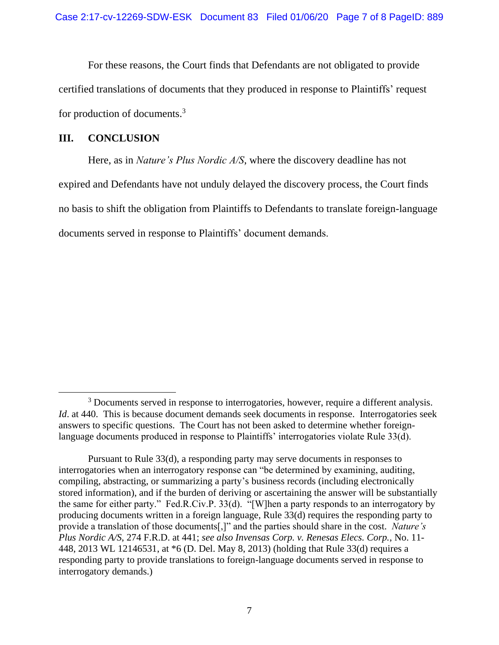For these reasons, the Court finds that Defendants are not obligated to provide certified translations of documents that they produced in response to Plaintiffs' request for production of documents.<sup>3</sup>

# **III. CONCLUSION**

Here, as in *Nature's Plus Nordic A/S*, where the discovery deadline has not expired and Defendants have not unduly delayed the discovery process, the Court finds no basis to shift the obligation from Plaintiffs to Defendants to translate foreign-language documents served in response to Plaintiffs' document demands.

<sup>&</sup>lt;sup>3</sup> Documents served in response to interrogatories, however, require a different analysis. *Id.* at 440. This is because document demands seek documents in response. Interrogatories seek answers to specific questions. The Court has not been asked to determine whether foreignlanguage documents produced in response to Plaintiffs' interrogatories violate Rule 33(d).

Pursuant to Rule 33(d), a responding party may serve documents in responses to interrogatories when an interrogatory response can "be determined by examining, auditing, compiling, abstracting, or summarizing a party's business records (including electronically stored information), and if the burden of deriving or ascertaining the answer will be substantially the same for either party." Fed.R.Civ.P. 33(d). "[W]hen a party responds to an interrogatory by producing documents written in a foreign language, Rule 33(d) requires the responding party to provide a translation of those documents[,]" and the parties should share in the cost. *Nature's Plus Nordic A/S*, 274 F.R.D. at 441; *see also Invensas Corp. v. Renesas Elecs. Corp.*, No. 11- 448, 2013 WL 12146531, at \*6 (D. Del. May 8, 2013) (holding that Rule 33(d) requires a responding party to provide translations to foreign-language documents served in response to interrogatory demands.)